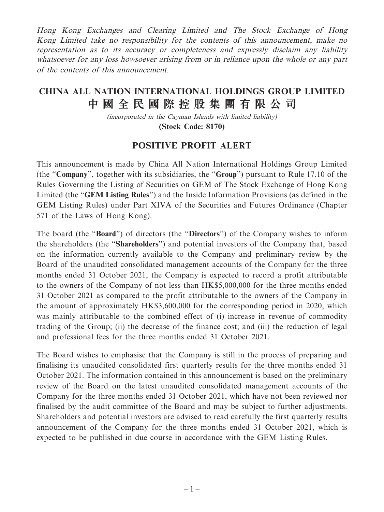Hong Kong Exchanges and Clearing Limited and The Stock Exchange of Hong Kong Limited take no responsibility for the contents of this announcement, make no representation as to its accuracy or completeness and expressly disclaim any liability whatsoever for any loss howsoever arising from or in reliance upon the whole or any part of the contents of this announcement.

## **CHINA ALL NATION INTERNATIONAL HOLDINGS GROUP LIMITED 中國全民國際控股集團有限公司**

(incorporated in the Cayman Islands with limited liability) **(Stock Code: 8170)**

## **POSITIVE PROFIT ALERT**

This announcement is made by China All Nation International Holdings Group Limited (the "**Company**", together with its subsidiaries, the "**Group**") pursuant to Rule 17.10 of the Rules Governing the Listing of Securities on GEM of The Stock Exchange of Hong Kong Limited (the "**GEM Listing Rules**") and the Inside Information Provisions (as defined in the GEM Listing Rules) under Part XIVA of the Securities and Futures Ordinance (Chapter 571 of the Laws of Hong Kong).

The board (the "**Board**") of directors (the "**Directors**") of the Company wishes to inform the shareholders (the "**Shareholders**") and potential investors of the Company that, based on the information currently available to the Company and preliminary review by the Board of the unaudited consolidated management accounts of the Company for the three months ended 31 October 2021, the Company is expected to record a profit attributable to the owners of the Company of not less than HK\$5,000,000 for the three months ended 31 October 2021 as compared to the profit attributable to the owners of the Company in the amount of approximately HK\$3,600,000 for the corresponding period in 2020, which was mainly attributable to the combined effect of (i) increase in revenue of commodity trading of the Group; (ii) the decrease of the finance cost; and (iii) the reduction of legal and professional fees for the three months ended 31 October 2021.

The Board wishes to emphasise that the Company is still in the process of preparing and finalising its unaudited consolidated first quarterly results for the three months ended 31 October 2021. The information contained in this announcement is based on the preliminary review of the Board on the latest unaudited consolidated management accounts of the Company for the three months ended 31 October 2021, which have not been reviewed nor finalised by the audit committee of the Board and may be subject to further adjustments. Shareholders and potential investors are advised to read carefully the first quarterly results announcement of the Company for the three months ended 31 October 2021, which is expected to be published in due course in accordance with the GEM Listing Rules.